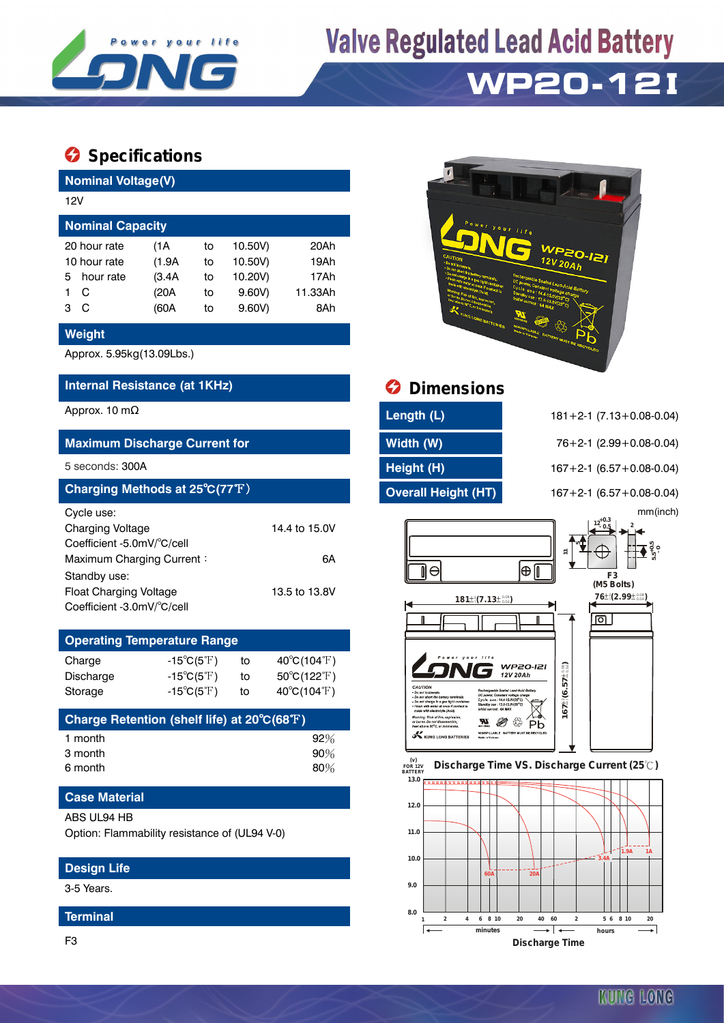

# **Valve Regulated Lead Acid Battery**

# **WP20-12 I**

## **Specifications**

| <b>Nominal Voltage(V)</b> |              |       |    |         |         |  |  |  |  |  |
|---------------------------|--------------|-------|----|---------|---------|--|--|--|--|--|
|                           | 12V          |       |    |         |         |  |  |  |  |  |
| <b>Nominal Capacity</b>   |              |       |    |         |         |  |  |  |  |  |
|                           | 20 hour rate | (1A   | to | 10.50V) | 20Ah    |  |  |  |  |  |
| 10 hour rate              |              | (1.9A | to | 10.50V) | 19Ah    |  |  |  |  |  |
| 5.                        | hour rate    | (3.4A | to | 10.20V) | 17Ah    |  |  |  |  |  |
|                           | C            | (20A  | to | 9.60V   | 11.33Ah |  |  |  |  |  |
| з                         | C            | (60A  | to | 9.60V   | 8Ah     |  |  |  |  |  |

#### **Weight**

Approx. 5.95kg(13.09Lbs.)

### **Internal Resistance (at 1KHz) Dimensions**

#### **Maximum Discharge Current for Width (W)** 76+2-1 (2.99+0.08-0.04)

| Charging Methods at 25°C(77°F) |               |  |  |  |  |
|--------------------------------|---------------|--|--|--|--|
| Cycle use:                     |               |  |  |  |  |
| <b>Charging Voltage</b>        | 14.4 to 15.0V |  |  |  |  |
| Coefficient -5.0mV/°C/cell     |               |  |  |  |  |
| Maximum Charging Current:      | 6A            |  |  |  |  |
| Standby use:                   |               |  |  |  |  |
| <b>Float Charging Voltage</b>  | 13.5 to 13.8V |  |  |  |  |
| Coefficient -3.0mV/°C/cell     |               |  |  |  |  |

### **Operating Temperature Range**

| Charge           | -15 $^{\circ}$ C(5 $^{\circ}$ F) | to | $40^{\circ}$ C(104 $^{\circ}$ F) |
|------------------|----------------------------------|----|----------------------------------|
| <b>Discharge</b> | $-15^{\circ}C(5^{\circ}F)$       | to | $50^{\circ}$ C(122 $^{\circ}$ F) |
| Storage          | $-15^{\circ}C(5^{\circ}F)$       | to | $40^{\circ}C(104^{\circ}F)$      |
|                  |                                  |    |                                  |

| Charge Retention (shelf life) at 20°C(68°F) |     |
|---------------------------------------------|-----|
| 1 month                                     | 92% |
| 3 month                                     | 90% |
| 6 month                                     | 80% |

### **Case Material**

#### ABS UL94 HB

Option: Flammability resistance of (UL94 V-0)

### **Design Life**

3-5 Years.

#### **Terminal**

F3



| Approx. 10 m $\Omega$                | Length (L)                 | $181 + 2 - 1$ (7.13 + 0.08 - 0.04) |
|--------------------------------------|----------------------------|------------------------------------|
| <b>Maximum Discharge Current for</b> | Width (W)                  | $76+2-1$ (2.99 + 0.08-0.04)        |
| 5 seconds: 300A                      | Height (H)                 | $167 + 2 - 1$ (6.57 + 0.08-0.04)   |
| Charging Methods at 25°C(77°F)       | <b>Overall Height (HT)</b> | $167 + 2 - 1$ (6.57 + 0.08-0.04)   |

5 seconds: 300A **Height (H)** 167+2-1 (6.57+0.08-0.04) **Charging Methods at 25**℃**(77**℉) **Overall Height (HT)** 167+2-1 (6.57+0.08-0.04) mm(inch)





#### **FOR 12V BATTERY Discharge Time VS. Discharge Current (25 ℃)**



KUNG LONG